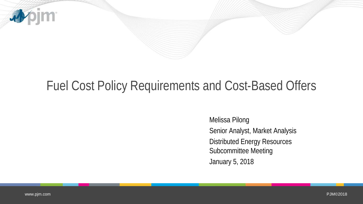

## Fuel Cost Policy Requirements and Cost-Based Offers

Melissa Pilong Senior Analyst, Market Analysis Distributed Energy Resources Subcommittee Meeting January 5, 2018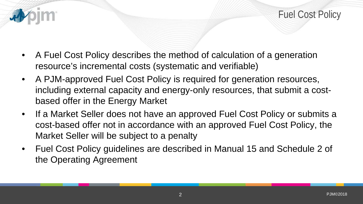

- A Fuel Cost Policy describes the method of calculation of a generation resource's incremental costs (systematic and verifiable)
- A PJM-approved Fuel Cost Policy is required for generation resources, including external capacity and energy-only resources, that submit a costbased offer in the Energy Market
- If a Market Seller does not have an approved Fuel Cost Policy or submits a cost-based offer not in accordance with an approved Fuel Cost Policy, the Market Seller will be subject to a penalty
- Fuel Cost Policy guidelines are described in Manual 15 and Schedule 2 of the Operating Agreement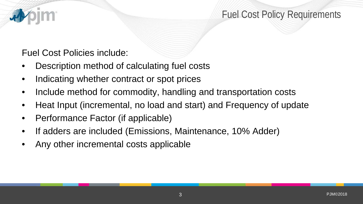## Fuel Cost Policy Requirements

#### Fuel Cost Policies include:

- Description method of calculating fuel costs
- Indicating whether contract or spot prices
- Include method for commodity, handling and transportation costs
- Heat Input (incremental, no load and start) and Frequency of update
- Performance Factor (if applicable)
- If adders are included (Emissions, Maintenance, 10% Adder)
- Any other incremental costs applicable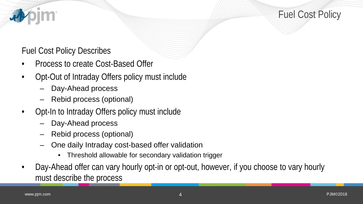Fuel Cost Policy

#### Fuel Cost Policy Describes

- Process to create Cost-Based Offer
- Opt-Out of Intraday Offers policy must include
	- Day-Ahead process
	- Rebid process (optional)
- Opt-In to Intraday Offers policy must include
	- Day-Ahead process
	- Rebid process (optional)
	- One daily Intraday cost-based offer validation
		- Threshold allowable for secondary validation trigger
- Day-Ahead offer can vary hourly opt-in or opt-out, however, if you choose to vary hourly must describe the process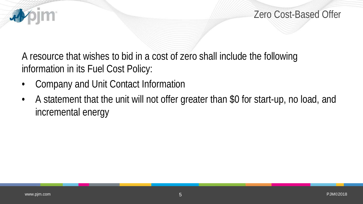

A resource that wishes to bid in a cost of zero shall include the following information in its Fuel Cost Policy:

- Company and Unit Contact Information
- A statement that the unit will not offer greater than \$0 for start-up, no load, and incremental energy

IM.

看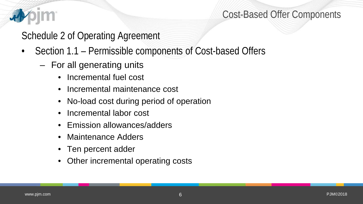

### Cost-Based Offer Components

Schedule 2 of Operating Agreement

- Section 1.1 Permissible components of Cost-based Offers
	- For all generating units
		- Incremental fuel cost
		- Incremental maintenance cost
		- No-load cost during period of operation
		- Incremental labor cost
		- Emission allowances/adders
		- Maintenance Adders
		- Ten percent adder
		- Other incremental operating costs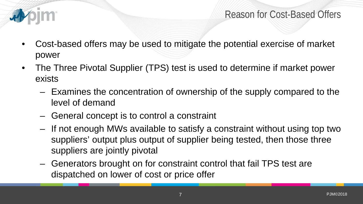

- Cost-based offers may be used to mitigate the potential exercise of market power
- The Three Pivotal Supplier (TPS) test is used to determine if market power exists
	- Examines the concentration of ownership of the supply compared to the level of demand
	- General concept is to control a constraint
	- If not enough MWs available to satisfy a constraint without using top two suppliers' output plus output of supplier being tested, then those three suppliers are jointly pivotal
	- Generators brought on for constraint control that fail TPS test are dispatched on lower of cost or price offer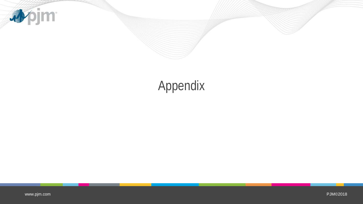

# Appendix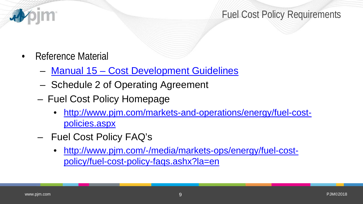

- Reference Material
	- Manual 15 [Cost Development Guidelines](http://www.pjm.com/%7E/media/documents/manuals/m15.ashx)
	- Schedule 2 of Operating Agreement
	- Fuel Cost Policy Homepage
		- [http://www.pjm.com/markets-and-operations/energy/fuel-cost](http://www.pjm.com/markets-and-operations/energy/fuel-cost-policies.aspx)[policies.aspx](http://www.pjm.com/markets-and-operations/energy/fuel-cost-policies.aspx)
	- Fuel Cost Policy FAQ's
		- [http://www.pjm.com/-/media/markets-ops/energy/fuel-cost](http://www.pjm.com/-/media/markets-ops/energy/fuel-cost-policy/fuel-cost-policy-faqs.ashx?la=en)[policy/fuel-cost-policy-faqs.ashx?la=en](http://www.pjm.com/-/media/markets-ops/energy/fuel-cost-policy/fuel-cost-policy-faqs.ashx?la=en)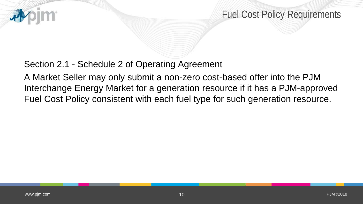

Fuel Cost Policy Requirements

#### Section 2.1 - Schedule 2 of Operating Agreement

A Market Seller may only submit a non-zero cost-based offer into the PJM Interchange Energy Market for a generation resource if it has a PJM-approved Fuel Cost Policy consistent with each fuel type for such generation resource.